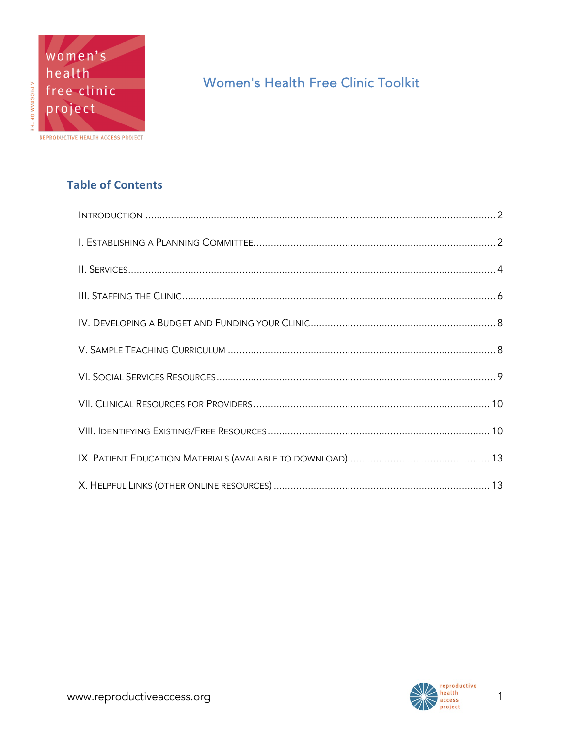# Women's Health Free Clinic Toolkit

## **Table of Contents**

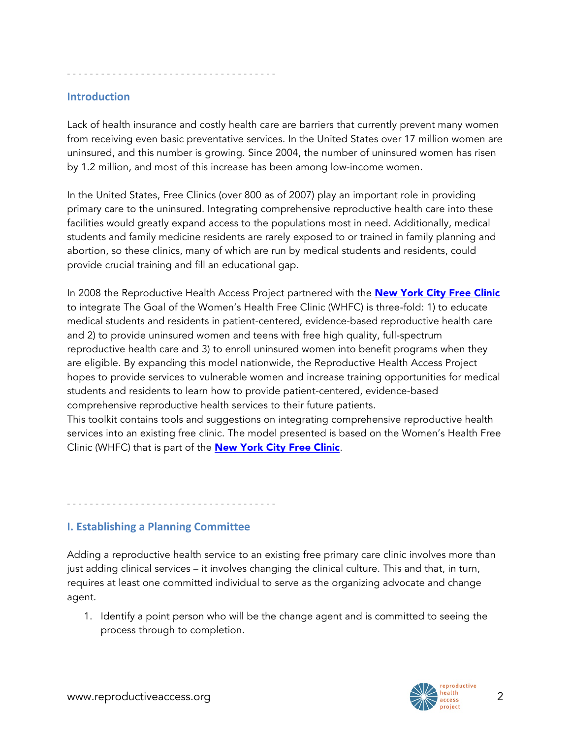- - - - - - - - - - - - - - - - - - - - - - - - - - - - - - - - - - - - -

#### **Introduction**

Lack of health insurance and costly health care are barriers that currently prevent many women from receiving even basic preventative services. In the United States over 17 million women are uninsured, and this number is growing. Since 2004, the number of uninsured women has risen by 1.2 million, and most of this increase has been among low-income women.

In the United States, Free Clinics (over 800 as of 2007) play an important role in providing primary care to the uninsured. Integrating comprehensive reproductive health care into these facilities would greatly expand access to the populations most in need. Additionally, medical students and family medicine residents are rarely exposed to or trained in family planning and abortion, so these clinics, many of which are run by medical students and residents, could provide crucial training and fill an educational gap.

In 2008 the Reproductive Health Access Project partnered with the [New York City Free Clinic](http://www.med.nyu.edu/nycfreeclinic/) to integrate The Goal of the Women's Health Free Clinic (WHFC) is three-fold: 1) to educate medical students and residents in patient-centered, evidence-based reproductive health care and 2) to provide uninsured women and teens with free high quality, full-spectrum reproductive health care and 3) to enroll uninsured women into benefit programs when they are eligible. By expanding this model nationwide, the Reproductive Health Access Project hopes to provide services to vulnerable women and increase training opportunities for medical students and residents to learn how to provide patient-centered, evidence-based comprehensive reproductive health services to their future patients.

This toolkit contains tools and suggestions on integrating comprehensive reproductive health services into an existing free clinic. The model presented is based on the Women's Health Free Clinic (WHFC) that is part of the **[New York City Free Clinic](http://www.med.nyu.edu/nycfreeclinic/)**.

- - - - - - - - - - - - - - - - - - - - - - - - - - - - - - - - - - - - -

## **I. Establishing a Planning Committee**

Adding a reproductive health service to an existing free primary care clinic involves more than just adding clinical services – it involves changing the clinical culture. This and that, in turn, requires at least one committed individual to serve as the organizing advocate and change agent.

1. Identify a point person who will be the change agent and is committed to seeing the process through to completion.

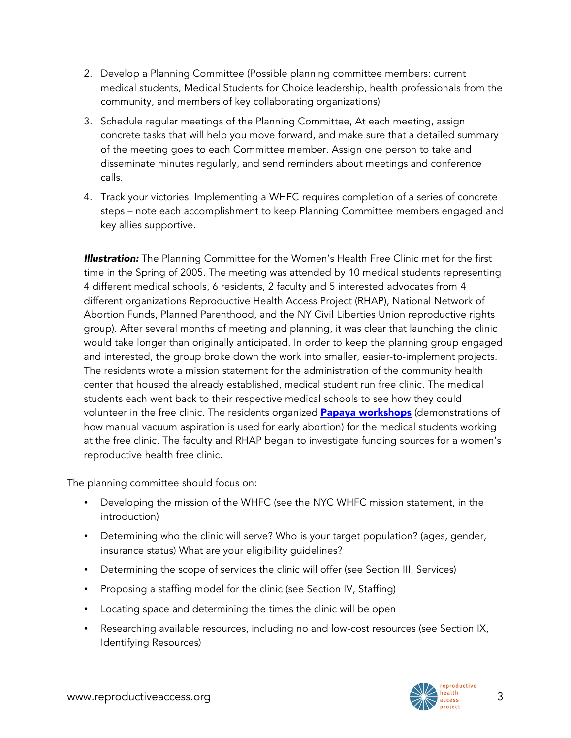- 2. Develop a Planning Committee (Possible planning committee members: current medical students, Medical Students for Choice leadership, health professionals from the community, and members of key collaborating organizations)
- 3. Schedule regular meetings of the Planning Committee, At each meeting, assign concrete tasks that will help you move forward, and make sure that a detailed summary of the meeting goes to each Committee member. Assign one person to take and disseminate minutes regularly, and send reminders about meetings and conference calls.
- 4. Track your victories. Implementing a WHFC requires completion of a series of concrete steps – note each accomplishment to keep Planning Committee members engaged and key allies supportive.

*Illustration:* The Planning Committee for the Women's Health Free Clinic met for the first time in the Spring of 2005. The meeting was attended by 10 medical students representing 4 different medical schools, 6 residents, 2 faculty and 5 interested advocates from 4 different organizations Reproductive Health Access Project (RHAP), National Network of Abortion Funds, Planned Parenthood, and the NY Civil Liberties Union reproductive rights group). After several months of meeting and planning, it was clear that launching the clinic would take longer than originally anticipated. In order to keep the planning group engaged and interested, the group broke down the work into smaller, easier-to-implement projects. The residents wrote a mission statement for the administration of the community health center that housed the already established, medical student run free clinic. The medical students each went back to their respective medical schools to see how they could volunteer in the free clinic. The residents organized **[Papaya workshops](http://www.reproductiveaccess.org/resource/teaching-manual-vacuum-aspiration-using-papayas/)** (demonstrations of how manual vacuum aspiration is used for early abortion) for the medical students working at the free clinic. The faculty and RHAP began to investigate funding sources for a women's reproductive health free clinic.

The planning committee should focus on:

- Developing the mission of the WHFC (see the NYC WHFC mission statement, in the introduction)
- Determining who the clinic will serve? Who is your target population? (ages, gender, insurance status) What are your eligibility guidelines?
- Determining the scope of services the clinic will offer (see Section III, Services)
- Proposing a staffing model for the clinic (see Section IV, Staffing)
- Locating space and determining the times the clinic will be open
- Researching available resources, including no and low-cost resources (see Section IX, Identifying Resources)

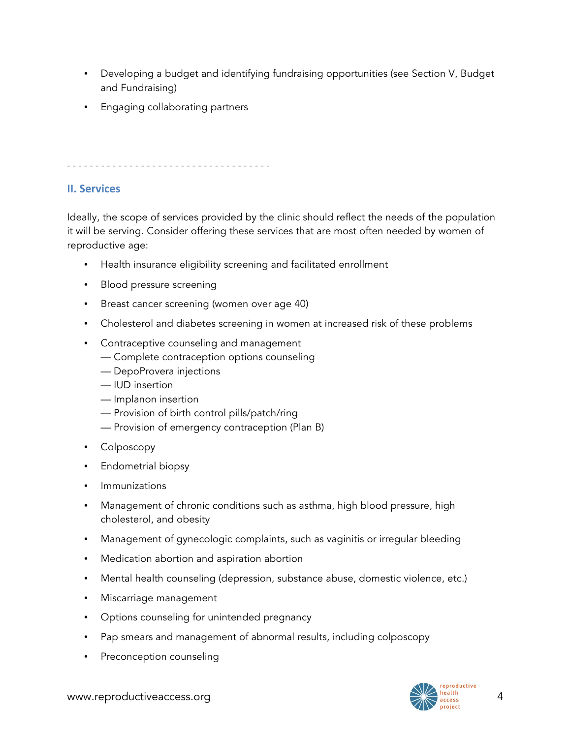- Developing a budget and identifying fundraising opportunities (see Section V, Budget and Fundraising)
- Engaging collaborating partners

- - - - - - - - - - - - - - - - - - - - - - - - - - - - - - - - - - - -

#### **II. Services**

Ideally, the scope of services provided by the clinic should reflect the needs of the population it will be serving. Consider offering these services that are most often needed by women of reproductive age:

- Health insurance eligibility screening and facilitated enrollment
- Blood pressure screening
- Breast cancer screening (women over age 40)
- Cholesterol and diabetes screening in women at increased risk of these problems
- Contraceptive counseling and management
	- Complete contraception options counseling
	- DepoProvera injections
	- IUD insertion
	- Implanon insertion
	- Provision of birth control pills/patch/ring
	- Provision of emergency contraception (Plan B)
- Colposcopy
- Endometrial biopsy
- Immunizations
- Management of chronic conditions such as asthma, high blood pressure, high cholesterol, and obesity
- Management of gynecologic complaints, such as vaginitis or irregular bleeding
- Medication abortion and aspiration abortion
- Mental health counseling (depression, substance abuse, domestic violence, etc.)
- Miscarriage management
- Options counseling for unintended pregnancy
- Pap smears and management of abnormal results, including colposcopy
- Preconception counseling

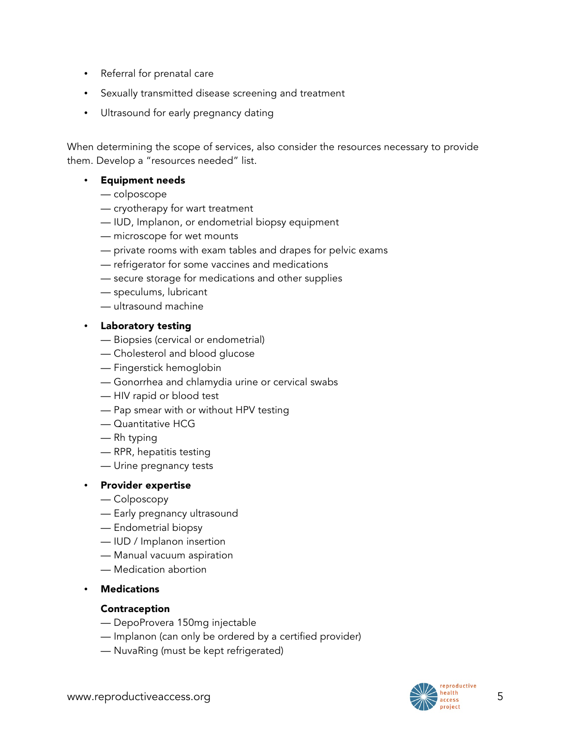- Referral for prenatal care
- Sexually transmitted disease screening and treatment
- Ultrasound for early pregnancy dating

When determining the scope of services, also consider the resources necessary to provide them. Develop a "resources needed" list.

#### • Equipment needs

- colposcope
- cryotherapy for wart treatment
- IUD, Implanon, or endometrial biopsy equipment
- microscope for wet mounts
- private rooms with exam tables and drapes for pelvic exams
- refrigerator for some vaccines and medications
- secure storage for medications and other supplies
- speculums, lubricant
- ultrasound machine

#### • Laboratory testing

- Biopsies (cervical or endometrial)
- Cholesterol and blood glucose
- Fingerstick hemoglobin
- Gonorrhea and chlamydia urine or cervical swabs
- HIV rapid or blood test
- Pap smear with or without HPV testing
- Quantitative HCG
- Rh typing
- RPR, hepatitis testing
- Urine pregnancy tests

#### • Provider expertise

- Colposcopy
- Early pregnancy ultrasound
- Endometrial biopsy
- IUD / Implanon insertion
- Manual vacuum aspiration
- Medication abortion
- **Medications**

#### Contraception

- DepoProvera 150mg injectable
- Implanon (can only be ordered by a certified provider)
- NuvaRing (must be kept refrigerated)

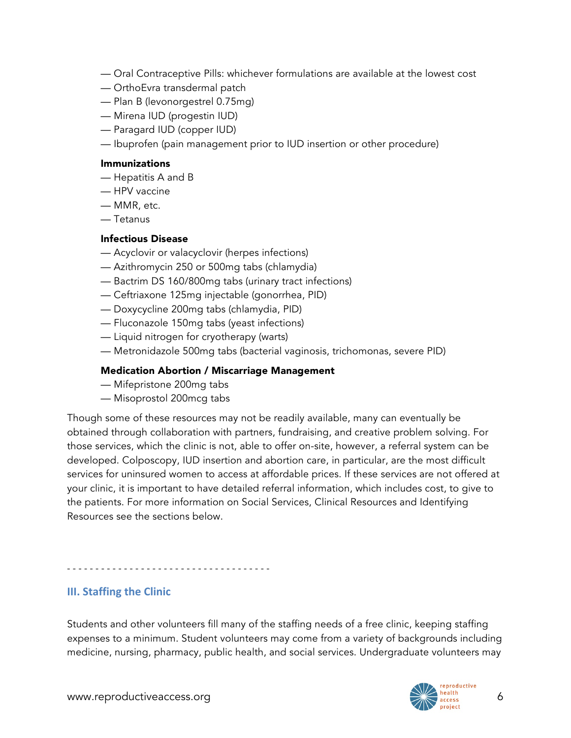- Oral Contraceptive Pills: whichever formulations are available at the lowest cost
- OrthoEvra transdermal patch
- Plan B (levonorgestrel 0.75mg)
- Mirena IUD (progestin IUD)
- Paragard IUD (copper IUD)
- Ibuprofen (pain management prior to IUD insertion or other procedure)

#### Immunizations

- Hepatitis A and B
- HPV vaccine
- MMR, etc.
- Tetanus

#### Infectious Disease

- Acyclovir or valacyclovir (herpes infections)
- Azithromycin 250 or 500mg tabs (chlamydia)
- Bactrim DS 160/800mg tabs (urinary tract infections)
- Ceftriaxone 125mg injectable (gonorrhea, PID)
- Doxycycline 200mg tabs (chlamydia, PID)
- Fluconazole 150mg tabs (yeast infections)
- Liquid nitrogen for cryotherapy (warts)
- Metronidazole 500mg tabs (bacterial vaginosis, trichomonas, severe PID)

#### Medication Abortion / Miscarriage Management

- Mifepristone 200mg tabs
- Misoprostol 200mcg tabs

- - - - - - - - - - - - - - - - - - - - - - - - - - - - - - - - - - - -

Though some of these resources may not be readily available, many can eventually be obtained through collaboration with partners, fundraising, and creative problem solving. For those services, which the clinic is not, able to offer on-site, however, a referral system can be developed. Colposcopy, IUD insertion and abortion care, in particular, are the most difficult services for uninsured women to access at affordable prices. If these services are not offered at your clinic, it is important to have detailed referral information, which includes cost, to give to the patients. For more information on Social Services, Clinical Resources and Identifying Resources see the sections below.

#### **III. Staffing the Clinic**

Students and other volunteers fill many of the staffing needs of a free clinic, keeping staffing expenses to a minimum. Student volunteers may come from a variety of backgrounds including medicine, nursing, pharmacy, public health, and social services. Undergraduate volunteers may

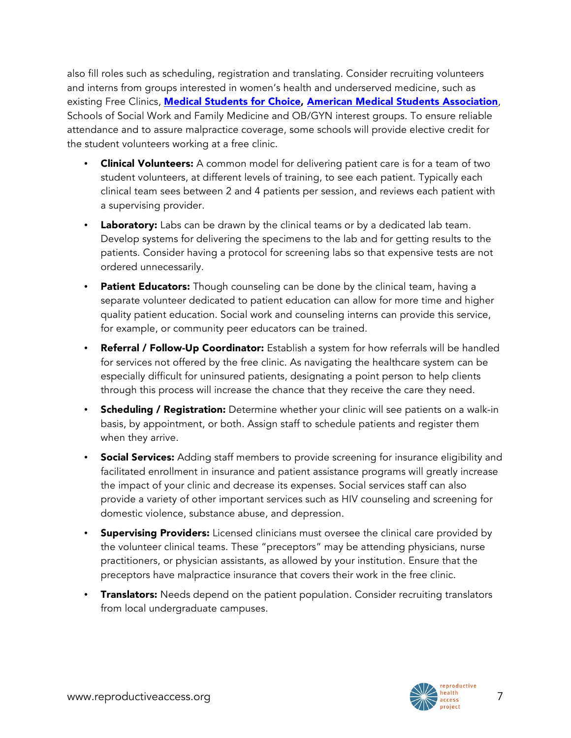also fill roles such as scheduling, registration and translating. Consider recruiting volunteers and interns from groups interested in women's health and underserved medicine, such as existing Free Clinics, **[Medical Students for Choice,](http://www.ms4c.org/) [American Medical Students Association](http://www.amsa.org/)**, Schools of Social Work and Family Medicine and OB/GYN interest groups. To ensure reliable attendance and to assure malpractice coverage, some schools will provide elective credit for the student volunteers working at a free clinic.

- Clinical Volunteers: A common model for delivering patient care is for a team of two student volunteers, at different levels of training, to see each patient. Typically each clinical team sees between 2 and 4 patients per session, and reviews each patient with a supervising provider.
- Laboratory: Labs can be drawn by the clinical teams or by a dedicated lab team. Develop systems for delivering the specimens to the lab and for getting results to the patients. Consider having a protocol for screening labs so that expensive tests are not ordered unnecessarily.
- Patient Educators: Though counseling can be done by the clinical team, having a separate volunteer dedicated to patient education can allow for more time and higher quality patient education. Social work and counseling interns can provide this service, for example, or community peer educators can be trained.
- Referral / Follow-Up Coordinator: Establish a system for how referrals will be handled for services not offered by the free clinic. As navigating the healthcare system can be especially difficult for uninsured patients, designating a point person to help clients through this process will increase the chance that they receive the care they need.
- Scheduling / Registration: Determine whether your clinic will see patients on a walk-in basis, by appointment, or both. Assign staff to schedule patients and register them when they arrive.
- Social Services: Adding staff members to provide screening for insurance eligibility and facilitated enrollment in insurance and patient assistance programs will greatly increase the impact of your clinic and decrease its expenses. Social services staff can also provide a variety of other important services such as HIV counseling and screening for domestic violence, substance abuse, and depression.
- Supervising Providers: Licensed clinicians must oversee the clinical care provided by the volunteer clinical teams. These "preceptors" may be attending physicians, nurse practitioners, or physician assistants, as allowed by your institution. Ensure that the preceptors have malpractice insurance that covers their work in the free clinic.
- Translators: Needs depend on the patient population. Consider recruiting translators from local undergraduate campuses.

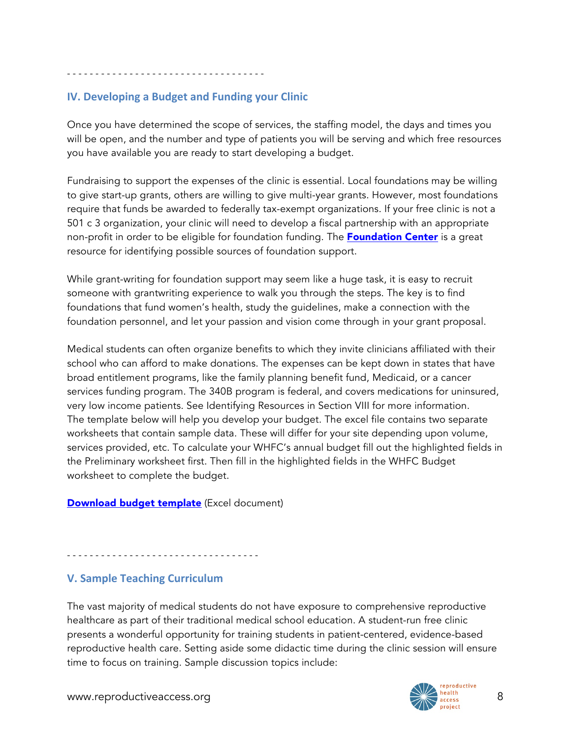- - - - - - - - - - - - - - - - - - - - - - - - - - - - - - - - - - -

## **IV. Developing a Budget and Funding your Clinic**

Once you have determined the scope of services, the staffing model, the days and times you will be open, and the number and type of patients you will be serving and which free resources you have available you are ready to start developing a budget.

Fundraising to support the expenses of the clinic is essential. Local foundations may be willing to give start-up grants, others are willing to give multi-year grants. However, most foundations require that funds be awarded to federally tax-exempt organizations. If your free clinic is not a 501 c 3 organization, your clinic will need to develop a fiscal partnership with an appropriate non-profit in order to be eligible for foundation funding. The **[Foundation Center](http://foundationcenter.org/)** is a great resource for identifying possible sources of foundation support.

While grant-writing for foundation support may seem like a huge task, it is easy to recruit someone with grantwriting experience to walk you through the steps. The key is to find foundations that fund women's health, study the guidelines, make a connection with the foundation personnel, and let your passion and vision come through in your grant proposal.

Medical students can often organize benefits to which they invite clinicians affiliated with their school who can afford to make donations. The expenses can be kept down in states that have broad entitlement programs, like the family planning benefit fund, Medicaid, or a cancer services funding program. The 340B program is federal, and covers medications for uninsured, very low income patients. See Identifying Resources in Section VIII for more information. The template below will help you develop your budget. The excel file contains two separate worksheets that contain sample data. These will differ for your site depending upon volume, services provided, etc. To calculate your WHFC's annual budget fill out the highlighted fields in the Preliminary worksheet first. Then fill in the highlighted fields in the WHFC Budget worksheet to complete the budget.

#### [Download budget template](http://www.reproductiveaccess.org/resource/womens-health-free-clinic-budget-template/) (Excel document)

- - - - - - - - - - - - - - - - - - - - - - - - - - - - - - - - - -

## **V. Sample Teaching Curriculum**

The vast majority of medical students do not have exposure to comprehensive reproductive healthcare as part of their traditional medical school education. A student-run free clinic presents a wonderful opportunity for training students in patient-centered, evidence-based reproductive health care. Setting aside some didactic time during the clinic session will ensure time to focus on training. Sample discussion topics include:

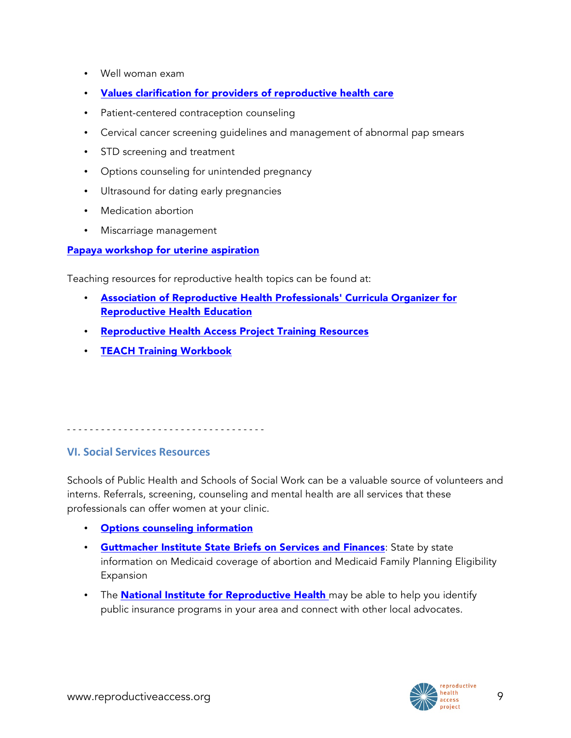- Well woman exam
- [Values clarification for providers of reproductive health care](http://www.reproductiveaccess.org/integrating_reprohealth/values_clar.htm)
- Patient-centered contraception counseling
- Cervical cancer screening guidelines and management of abnormal pap smears
- STD screening and treatment
- Options counseling for unintended pregnancy
- Ultrasound for dating early pregnancies
- Medication abortion
- Miscarriage management

#### [Papaya workshop for uterine aspiration](http://www.reproductiveaccess.org/resource/teaching-manual-vacuum-aspiration-using-papayas/)

Teaching resources for reproductive health topics can be found at:

- [Association of Reproductive Health Professionals' Curricula Organizer for](http://core.arhp.org/)  Reproductive Health Education
- [Reproductive Health Access Project Training Resources](http://www.reproductiveaccess.org/resources/?rsearch=&rtype%5B%5D=65)
- [TEACH Training Workbook](http://www.teachtraining.org/training-tools/early-abortion-training-workbook/)

- - - - - - - - - - - - - - - - - - - - - - - - - - - - - - - - - - -

### **VI. Social Services Resources**

Schools of Public Health and Schools of Social Work can be a valuable source of volunteers and interns. Referrals, screening, counseling and mental health are all services that these professionals can offer women at your clinic.

- [Options counseling information](http://www.reproductiveaccess.org/resource/pregnancy-options-counseling-model/)
- **[Guttmacher Institute State Briefs on Services and Finances](http://www.guttmacher.org/sections/services.php):** State by state information on Medicaid coverage of abortion and Medicaid Family Planning Eligibility Expansion
- The **National Institute for Reproductive Health** may be able to help you identify public insurance programs in your area and connect with other local advocates.

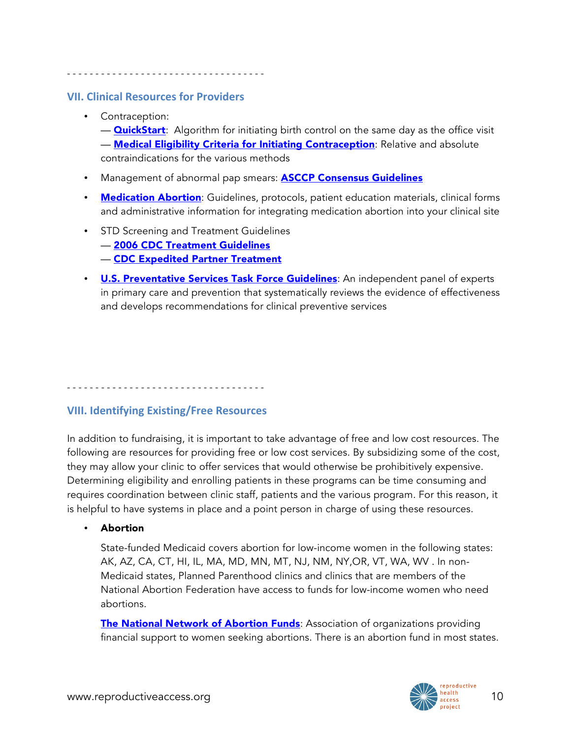- - - - - - - - - - - - - - - - - - - - - - - - - - - - - - - - - - -

#### **VII. Clinical Resources for Providers**

#### • Contraception:

— **QuickStart:** Algorithm for initiating birth control on the same day as the office visit **— [Medical Eligibility Criteria for Initiating Contraception](http://www.reproductiveaccess.org/resource/medical-eligibility-initiating-contraception/)**: Relative and absolute contraindications for the various methods

- Management of abnormal pap smears: **[ASCCP Consensus Guidelines](http://www.asccp.org/consensus.shtml)**
- [Medication Abortion](http://www.reproductiveaccess.org/resources/?rsearch=&rtopic%5B%5D=42): Guidelines, protocols, patient education materials, clinical forms and administrative information for integrating medication abortion into your clinical site
- STD Screening and Treatment Guidelines
	- [2006 CDC Treatment Guidelines](http://www.cdc.gov/std/treatment/)
	- [CDC Expedited Partner Treatment](http://www.cdc.gov/std/ept/)
- **[U.S. Preventative Services Task Force Guidelines](http://www.uspreventiveservicestaskforce.org/):** An independent panel of experts in primary care and prevention that systematically reviews the evidence of effectiveness and develops recommendations for clinical preventive services

## **VIII. Identifying Existing/Free Resources**

- - - - - - - - - - - - - - - - - - - - - - - - - - - - - - - - - - -

In addition to fundraising, it is important to take advantage of free and low cost resources. The following are resources for providing free or low cost services. By subsidizing some of the cost, they may allow your clinic to offer services that would otherwise be prohibitively expensive. Determining eligibility and enrolling patients in these programs can be time consuming and requires coordination between clinic staff, patients and the various program. For this reason, it is helpful to have systems in place and a point person in charge of using these resources.

• Abortion

State-funded Medicaid covers abortion for low-income women in the following states: AK, AZ, CA, CT, HI, IL, MA, MD, MN, MT, NJ, NM, NY,OR, VT, WA, WV . In non-Medicaid states, Planned Parenthood clinics and clinics that are members of the National Abortion Federation have access to funds for low-income women who need abortions.

[The National Network of Abortion Funds](http://www.nnaf.org/): Association of organizations providing financial support to women seeking abortions. There is an abortion fund in most states.

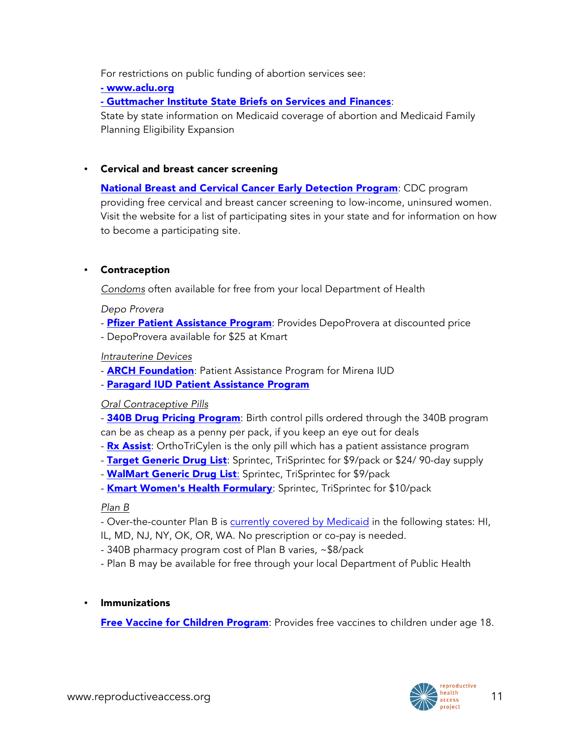For restrictions on public funding of abortion services see:

- [www.aclu.org](http://www.aclu.org/reproductiverights/lowincome/16393res20040721.html)

- [Guttmacher Institute State Briefs on Services and Finances](http://www.guttmacher.org/sections/services.php):

State by state information on Medicaid coverage of abortion and Medicaid Family Planning Eligibility Expansion

#### • Cervical and breast cancer screening

**[National Breast and Cervical Cancer Early Detection Program](http://www.cdc.gov/cancer/nbccedp/): CDC program** providing free cervical and breast cancer screening to low-income, uninsured women. Visit the website for a list of participating sites in your state and for information on how to become a participating site.

#### • Contraception

*Condoms* often available for free from your local Department of Health

*Depo Provera*

- [Pfizer Patient Assistance Program](http://www.pfizerhelpfulanswers.com/pages/Find/FindAll.aspx): Provides DepoProvera at discounted price
- DepoProvera available for \$25 at Kmart

#### *Intrauterine Devices*

- **[ARCH Foundation](http://www.archfoundation.com/about.htm)**: Patient Assistance Program for Mirena IUD

- [Paragard IUD Patient Assistance Program](http://www.patientassistance.com/profile/duramedpharmaceticalsinc-426/)

#### *Oral Contraceptive Pills*

- [340B Drug Pricing Program](http://www.hrsa.gov/opa/index.html): Birth control pills ordered through the 340B program can be as cheap as a penny per pack, if you keep an eye out for deals

- [Rx Assist](http://www.rxassist.org/): OrthoTriCylen is the only pill which has a patient assistance program
- [Target Generic Drug List](http://www.target.com/pharmacy/generics-alphabetic): Sprintec, TriSprintec for \$9/pack or \$24/90-day supply
- **[WalMart Generic Drug List](http://www.kmart.com/ue/home/WomensHealth-formulary-condensed-03-2011.pdf):** Sprintec, TriSprintec for \$9/pack
- [Kmart Women's Health Formulary](http://www.kmart.com/ue/home/WomensHealth-formulary-condensed-03-2011.pdf): Sprintec, TriSprintec for \$10/pack

#### *Plan B*

- Over-the-counter Plan B is [currently covered by Medicaid](http://ec.princeton.edu/info/Medicaid.html) in the following states: HI,
- IL, MD, NJ, NY, OK, OR, WA. No prescription or co-pay is needed.
- 340B pharmacy program cost of Plan B varies, ~\$8/pack
- Plan B may be available for free through your local Department of Public Health

**Immunizations** 

**[Free Vaccine for Children Program](http://www.cdc.gov/vaccines/programs/vfc/parents/default.htm)**: Provides free vaccines to children under age 18.

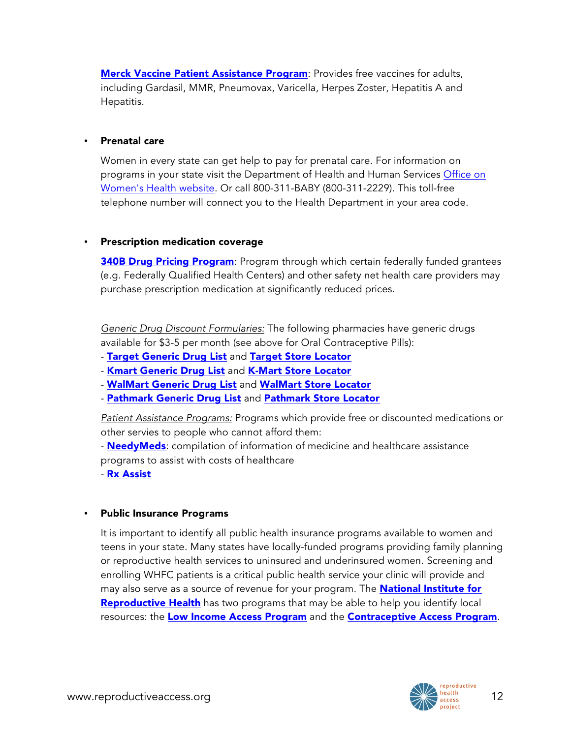**[Merck Vaccine Patient Assistance Program](http://www.merck.com/merckhelps/vaccines/how_works.html): Provides free vaccines for adults,** including Gardasil, MMR, Pneumovax, Varicella, Herpes Zoster, Hepatitis A and Hepatitis.

#### • Prenatal care

Women in every state can get help to pay for prenatal care. For information on programs in your state visit the Department of Health and Human Services [Office on](http://www.womenshealth.gov/publications/our-publications/fact-sheet/prenatal-care.cfm#i)  [Women's Health website.](http://www.womenshealth.gov/publications/our-publications/fact-sheet/prenatal-care.cfm#i) Or call 800-311-BABY (800-311-2229). This toll-free telephone number will connect you to the Health Department in your area code.

#### • Prescription medication coverage

**[340B Drug Pricing Program](http://www.hrsa.gov/opa/introduction.htm):** Program through which certain federally funded grantees (e.g. Federally Qualified Health Centers) and other safety net health care providers may purchase prescription medication at significantly reduced prices.

*Generic Drug Discount Formularies:* The following pharmacies have generic drugs available for \$3-5 per month (see above for Oral Contraceptive Pills):

- [Target Generic Drug List](http://www.hrsa.gov/opa/introduction.htm) and [Target Store Locator](http://www.target.com/store-locator/find-stores)
- [Kmart Generic Drug List](https://pharmacy.kmart.com/shc/Mygofer/pdf/DrugList.pdf) and [K-Mart Store Locator](http://www.kmart.com/shc/s/StoreLocatorView?storeId=10151&catalogId=10104&langId=-1&adCell=AH)
- [WalMart Generic Drug List](http://i.walmartimages.com/i/if/hmp/fusion/customer_list.pdf) and [WalMart Store Locator](http://www.walmart.com/storeLocator/ca_storefinder.do?serviceName=ALL)
- [Pathmark Generic Drug List](http://pathmark.apsupermarket.com/generic-prescription) and [Pathmark Store Locator](http://pathmark.apsupermarket.com/storelocator)

*Patient Assistance Programs:* Programs which provide free or discounted medications or other servies to people who cannot afford them:

- [NeedyMeds](http://www.needymeds.org/): compilation of information of medicine and healthcare assistance programs to assist with costs of healthcare

- [Rx Assist](http://www.rxassist.org/)

#### • Public Insurance Programs

It is important to identify all public health insurance programs available to women and teens in your state. Many states have locally-funded programs providing family planning or reproductive health services to uninsured and underinsured women. Screening and enrolling WHFC patients is a critical public health service your clinic will provide and may also serve as a source of revenue for your program. The **National Institute for [Reproductive Health](http://www.nirhealth.org/index.asp)** has two programs that may be able to help you identify local resources: the [Low Income Access Program](http://www.nirhealth.org/sections/ourprograms/ourprograms_lowincome_access.asp) and the [Contraceptive Access Program](http://www.nirhealth.org/sections/ourprograms/ourprograms_contraceptive_pgm.asp).